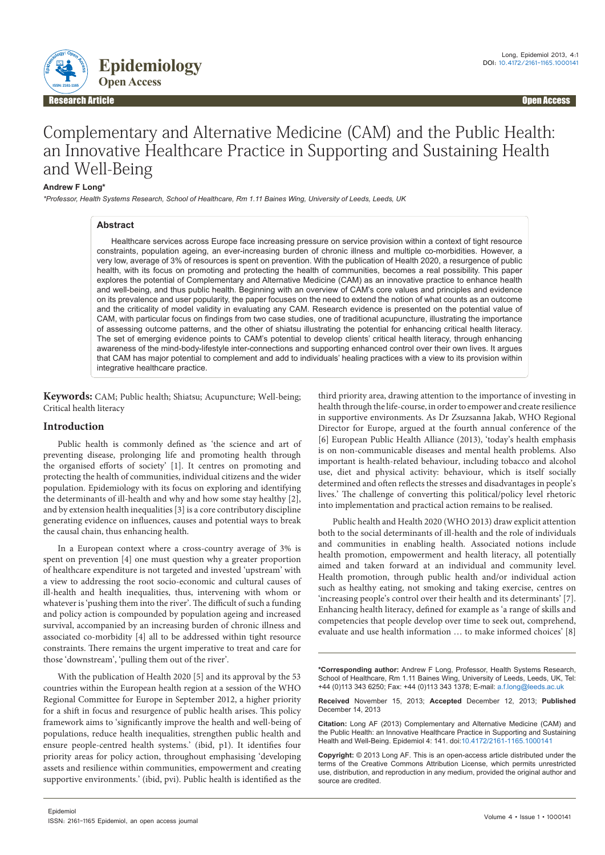

# Complementary and Alternative Medicine (CAM) and the Public Health: an Innovative Healthcare Practice in Supporting and Sustaining Health and Well-Being

# **Andrew F Long\***

*\*Professor, Health Systems Research, School of Healthcare, Rm 1.11 Baines Wing, University of Leeds, Leeds, UK*

#### **Abstract**

Healthcare services across Europe face increasing pressure on service provision within a context of tight resource constraints, population ageing, an ever-increasing burden of chronic illness and multiple co-morbidities. However, a very low, average of 3% of resources is spent on prevention. With the publication of Health 2020, a resurgence of public health, with its focus on promoting and protecting the health of communities, becomes a real possibility. This paper explores the potential of Complementary and Alternative Medicine (CAM) as an innovative practice to enhance health and well-being, and thus public health. Beginning with an overview of CAM's core values and principles and evidence on its prevalence and user popularity, the paper focuses on the need to extend the notion of what counts as an outcome and the criticality of model validity in evaluating any CAM. Research evidence is presented on the potential value of CAM, with particular focus on findings from two case studies, one of traditional acupuncture, illustrating the importance of assessing outcome patterns, and the other of shiatsu illustrating the potential for enhancing critical health literacy. The set of emerging evidence points to CAM's potential to develop clients' critical health literacy, through enhancing awareness of the mind-body-lifestyle inter-connections and supporting enhanced control over their own lives. It argues that CAM has major potential to complement and add to individuals' healing practices with a view to its provision within integrative healthcare practice.

**Keywords:** CAM; Public health; Shiatsu; Acupuncture; Well-being; Critical health literacy

# **Introduction**

Public health is commonly defined as 'the science and art of preventing disease, prolonging life and promoting health through the organised efforts of society' [1]. It centres on promoting and protecting the health of communities, individual citizens and the wider population. Epidemiology with its focus on exploring and identifying the determinants of ill-health and why and how some stay healthy [2], and by extension health inequalities [3] is a core contributory discipline generating evidence on influences, causes and potential ways to break the causal chain, thus enhancing health.

In a European context where a cross-country average of 3% is spent on prevention [4] one must question why a greater proportion of healthcare expenditure is not targeted and invested 'upstream' with a view to addressing the root socio-economic and cultural causes of ill-health and health inequalities, thus, intervening with whom or whatever is 'pushing them into the river'. The difficult of such a funding and policy action is compounded by population ageing and increased survival, accompanied by an increasing burden of chronic illness and associated co-morbidity [4] all to be addressed within tight resource constraints. There remains the urgent imperative to treat and care for those 'downstream', 'pulling them out of the river'.

With the publication of Health 2020 [5] and its approval by the 53 countries within the European health region at a session of the WHO Regional Committee for Europe in September 2012, a higher priority for a shift in focus and resurgence of public health arises. This policy framework aims to 'significantly improve the health and well-being of populations, reduce health inequalities, strengthen public health and ensure people-centred health systems.' (ibid, p1). It identifies four priority areas for policy action, throughout emphasising 'developing assets and resilience within communities, empowerment and creating supportive environments.' (ibid, pvi). Public health is identified as the

Epidemiol ISSN: 2161-1165 Epidemiol, an open access journal

third priority area, drawing attention to the importance of investing in health through the life-course, in order to empower and create resilience in supportive environments. As Dr Zsuzsanna Jakab, WHO Regional Director for Europe, argued at the fourth annual conference of the [6] European Public Health Alliance (2013), 'today's health emphasis is on non-communicable diseases and mental health problems. Also important is health-related behaviour, including tobacco and alcohol use, diet and physical activity: behaviour, which is itself socially determined and often reflects the stresses and disadvantages in people's lives.' The challenge of converting this political/policy level rhetoric into implementation and practical action remains to be realised.

Public health and Health 2020 (WHO 2013) draw explicit attention both to the social determinants of ill-health and the role of individuals and communities in enabling health. Associated notions include health promotion, empowerment and health literacy, all potentially aimed and taken forward at an individual and community level. Health promotion, through public health and/or individual action such as healthy eating, not smoking and taking exercise, centres on 'increasing people's control over their health and its determinants' [7]. Enhancing health literacy, defined for example as 'a range of skills and competencies that people develop over time to seek out, comprehend, evaluate and use health information … to make informed choices' [8]

**\*Corresponding author:** Andrew F Long, Professor, Health Systems Research, School of Healthcare, Rm 1.11 Baines Wing, University of Leeds, Leeds, UK, Tel: +44 (0)113 343 6250; Fax: +44 (0)113 343 1378; E-mail: a.f.long@leeds.ac.uk

**Received** November 15, 2013; **Accepted** December 12, 2013; **Published** December 14, 2013

**Citation:** Long AF (2013) Complementary and Alternative Medicine (CAM) and the Public Health: an Innovative Healthcare Practice in Supporting and Sustaining Health and Well-Being. Epidemiol 4: 141. doi:10.4172/2161-1165.1000141

**Copyright:** © 2013 Long AF. This is an open-access article distributed under the terms of the Creative Commons Attribution License, which permits unrestricted use, distribution, and reproduction in any medium, provided the original author and source are credited.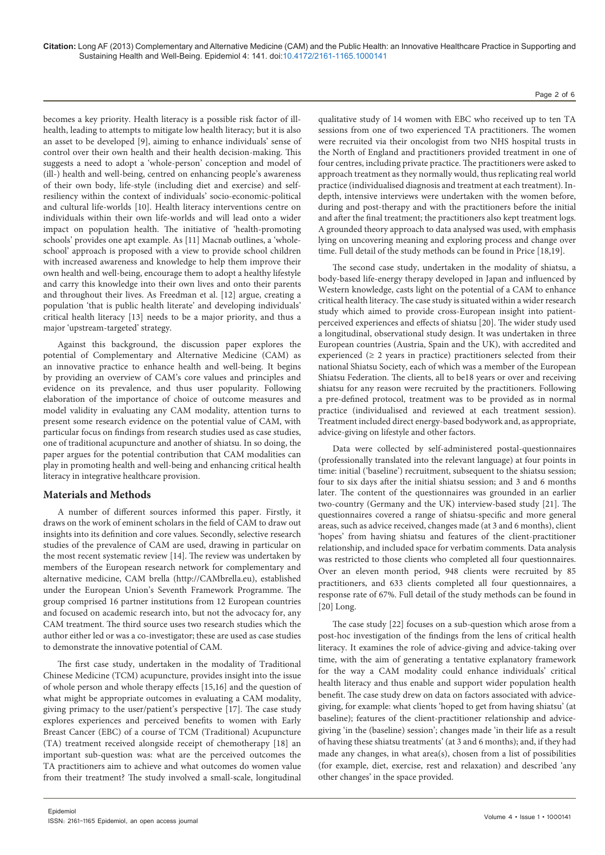becomes a key priority. Health literacy is a possible risk factor of illhealth, leading to attempts to mitigate low health literacy; but it is also an asset to be developed [9], aiming to enhance individuals' sense of control over their own health and their health decision-making. This suggests a need to adopt a 'whole-person' conception and model of (ill-) health and well-being, centred on enhancing people's awareness of their own body, life-style (including diet and exercise) and selfresiliency within the context of individuals' socio-economic-political and cultural life-worlds [10]. Health literacy interventions centre on individuals within their own life-worlds and will lead onto a wider impact on population health. The initiative of 'health-promoting schools' provides one apt example. As [11] Macnab outlines, a 'wholeschool' approach is proposed with a view to provide school children with increased awareness and knowledge to help them improve their own health and well-being, encourage them to adopt a healthy lifestyle and carry this knowledge into their own lives and onto their parents and throughout their lives. As Freedman et al. [12] argue, creating a population 'that is public health literate' and developing individuals' critical health literacy [13] needs to be a major priority, and thus a major 'upstream-targeted' strategy.

Against this background, the discussion paper explores the potential of Complementary and Alternative Medicine (CAM) as an innovative practice to enhance health and well-being. It begins by providing an overview of CAM's core values and principles and evidence on its prevalence, and thus user popularity. Following elaboration of the importance of choice of outcome measures and model validity in evaluating any CAM modality, attention turns to present some research evidence on the potential value of CAM, with particular focus on findings from research studies used as case studies, one of traditional acupuncture and another of shiatsu. In so doing, the paper argues for the potential contribution that CAM modalities can play in promoting health and well-being and enhancing critical health literacy in integrative healthcare provision.

# **Materials and Methods**

A number of different sources informed this paper. Firstly, it draws on the work of eminent scholars in the field of CAM to draw out insights into its definition and core values. Secondly, selective research studies of the prevalence of CAM are used, drawing in particular on the most recent systematic review [14]. The review was undertaken by members of the European research network for complementary and alternative medicine, CAM brella (http://CAMbrella.eu), established under the European Union's Seventh Framework Programme. The group comprised 16 partner institutions from 12 European countries and focused on academic research into, but not the advocacy for, any CAM treatment. The third source uses two research studies which the author either led or was a co-investigator; these are used as case studies to demonstrate the innovative potential of CAM.

The first case study, undertaken in the modality of Traditional Chinese Medicine (TCM) acupuncture, provides insight into the issue of whole person and whole therapy effects [15,16] and the question of what might be appropriate outcomes in evaluating a CAM modality, giving primacy to the user/patient's perspective [17]. The case study explores experiences and perceived benefits to women with Early Breast Cancer (EBC) of a course of TCM (Traditional) Acupuncture (TA) treatment received alongside receipt of chemotherapy [18] an important sub-question was: what are the perceived outcomes the TA practitioners aim to achieve and what outcomes do women value from their treatment? The study involved a small-scale, longitudinal

qualitative study of 14 women with EBC who received up to ten TA sessions from one of two experienced TA practitioners. The women were recruited via their oncologist from two NHS hospital trusts in the North of England and practitioners provided treatment in one of four centres, including private practice. The practitioners were asked to approach treatment as they normally would, thus replicating real world practice (individualised diagnosis and treatment at each treatment). Indepth, intensive interviews were undertaken with the women before, during and post-therapy and with the practitioners before the initial and after the final treatment; the practitioners also kept treatment logs. A grounded theory approach to data analysed was used, with emphasis lying on uncovering meaning and exploring process and change over time. Full detail of the study methods can be found in Price [18,19].

The second case study, undertaken in the modality of shiatsu, a body-based life-energy therapy developed in Japan and influenced by Western knowledge, casts light on the potential of a CAM to enhance critical health literacy. The case study is situated within a wider research study which aimed to provide cross-European insight into patientperceived experiences and effects of shiatsu [20]. The wider study used a longitudinal, observational study design. It was undertaken in three European countries (Austria, Spain and the UK), with accredited and experienced ( $\geq$  2 years in practice) practitioners selected from their national Shiatsu Society, each of which was a member of the European Shiatsu Federation. The clients, all to be18 years or over and receiving shiatsu for any reason were recruited by the practitioners. Following a pre-defined protocol, treatment was to be provided as in normal practice (individualised and reviewed at each treatment session). Treatment included direct energy-based bodywork and, as appropriate, advice-giving on lifestyle and other factors.

Data were collected by self-administered postal-questionnaires (professionally translated into the relevant language) at four points in time: initial ('baseline') recruitment, subsequent to the shiatsu session; four to six days after the initial shiatsu session; and 3 and 6 months later. The content of the questionnaires was grounded in an earlier two-country (Germany and the UK) interview-based study [21]. The questionnaires covered a range of shiatsu-specific and more general areas, such as advice received, changes made (at 3 and 6 months), client 'hopes' from having shiatsu and features of the client-practitioner relationship, and included space for verbatim comments. Data analysis was restricted to those clients who completed all four questionnaires. Over an eleven month period, 948 clients were recruited by 85 practitioners, and 633 clients completed all four questionnaires, a response rate of 67%. Full detail of the study methods can be found in [20] Long.

The case study [22] focuses on a sub-question which arose from a post-hoc investigation of the findings from the lens of critical health literacy. It examines the role of advice-giving and advice-taking over time, with the aim of generating a tentative explanatory framework for the way a CAM modality could enhance individuals' critical health literacy and thus enable and support wider population health benefit. The case study drew on data on factors associated with advicegiving, for example: what clients 'hoped to get from having shiatsu' (at baseline); features of the client-practitioner relationship and advicegiving 'in the (baseline) session'; changes made 'in their life as a result of having these shiatsu treatments' (at 3 and 6 months); and, if they had made any changes, in what area(s), chosen from a list of possibilities (for example, diet, exercise, rest and relaxation) and described 'any other changes' in the space provided.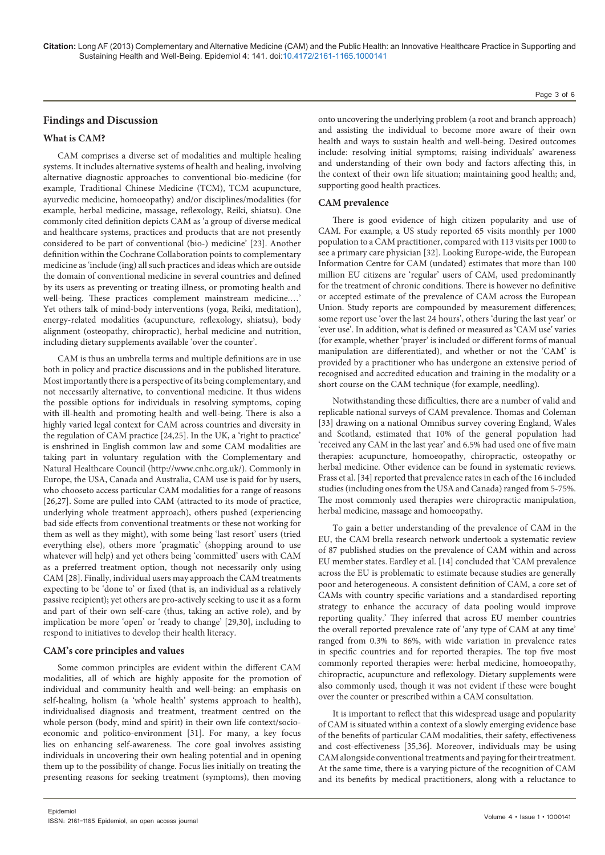# **Findings and Discussion**

# **What is CAM?**

CAM comprises a diverse set of modalities and multiple healing systems. It includes alternative systems of health and healing, involving alternative diagnostic approaches to conventional bio-medicine (for example, Traditional Chinese Medicine (TCM), TCM acupuncture, ayurvedic medicine, homoeopathy) and/or disciplines/modalities (for example, herbal medicine, massage, reflexology, Reiki, shiatsu). One commonly cited definition depicts CAM as 'a group of diverse medical and healthcare systems, practices and products that are not presently considered to be part of conventional (bio-) medicine' [23]. Another definition within the Cochrane Collaboration points to complementary medicine as 'include (ing) all such practices and ideas which are outside the domain of conventional medicine in several countries and defined by its users as preventing or treating illness, or promoting health and well-being. These practices complement mainstream medicine.…' Yet others talk of mind-body interventions (yoga, Reiki, meditation), energy-related modalities (acupuncture, reflexology, shiatsu), body alignment (osteopathy, chiropractic), herbal medicine and nutrition, including dietary supplements available 'over the counter'.

CAM is thus an umbrella terms and multiple definitions are in use both in policy and practice discussions and in the published literature. Most importantly there is a perspective of its being complementary, and not necessarily alternative, to conventional medicine. It thus widens the possible options for individuals in resolving symptoms, coping with ill-health and promoting health and well-being. There is also a highly varied legal context for CAM across countries and diversity in the regulation of CAM practice [24,25]. In the UK, a 'right to practice' is enshrined in English common law and some CAM modalities are taking part in voluntary regulation with the Complementary and Natural Healthcare Council (http://www.cnhc.org.uk/). Commonly in Europe, the USA, Canada and Australia, CAM use is paid for by users, who chooseto access particular CAM modalities for a range of reasons [26,27]. Some are pulled into CAM (attracted to its mode of practice, underlying whole treatment approach), others pushed (experiencing bad side effects from conventional treatments or these not working for them as well as they might), with some being 'last resort' users (tried everything else), others more 'pragmatic' (shopping around to use whatever will help) and yet others being 'committed' users with CAM as a preferred treatment option, though not necessarily only using CAM [28]. Finally, individual users may approach the CAM treatments expecting to be 'done to' or fixed (that is, an individual as a relatively passive recipient); yet others are pro-actively seeking to use it as a form and part of their own self-care (thus, taking an active role), and by implication be more 'open' or 'ready to change' [29,30], including to respond to initiatives to develop their health literacy.

#### **CAM's core principles and values**

Some common principles are evident within the different CAM modalities, all of which are highly apposite for the promotion of individual and community health and well-being: an emphasis on self-healing, holism (a 'whole health' systems approach to health), individualised diagnosis and treatment, treatment centred on the whole person (body, mind and spirit) in their own life context/socioeconomic and politico-environment [31]. For many, a key focus lies on enhancing self-awareness. The core goal involves assisting individuals in uncovering their own healing potential and in opening them up to the possibility of change. Focus lies initially on treating the presenting reasons for seeking treatment (symptoms), then moving

Epidemiol

onto uncovering the underlying problem (a root and branch approach) and assisting the individual to become more aware of their own health and ways to sustain health and well-being. Desired outcomes include: resolving initial symptoms; raising individuals' awareness and understanding of their own body and factors affecting this, in the context of their own life situation; maintaining good health; and, supporting good health practices.

# **CAM prevalence**

There is good evidence of high citizen popularity and use of CAM. For example, a US study reported 65 visits monthly per 1000 population to a CAM practitioner, compared with 113 visits per 1000 to see a primary care physician [32]. Looking Europe-wide, the European Information Centre for CAM (undated) estimates that more than 100 million EU citizens are 'regular' users of CAM, used predominantly for the treatment of chronic conditions. There is however no definitive or accepted estimate of the prevalence of CAM across the European Union. Study reports are compounded by measurement differences; some report use 'over the last 24 hours', others 'during the last year' or 'ever use'. In addition, what is defined or measured as 'CAM use' varies (for example, whether 'prayer' is included or different forms of manual manipulation are differentiated), and whether or not the 'CAM' is provided by a practitioner who has undergone an extensive period of recognised and accredited education and training in the modality or a short course on the CAM technique (for example, needling).

Notwithstanding these difficulties, there are a number of valid and replicable national surveys of CAM prevalence. Thomas and Coleman [33] drawing on a national Omnibus survey covering England, Wales and Scotland, estimated that 10% of the general population had 'received any CAM in the last year' and 6.5% had used one of five main therapies: acupuncture, homoeopathy, chiropractic, osteopathy or herbal medicine. Other evidence can be found in systematic reviews. Frass et al. [34] reported that prevalence rates in each of the 16 included studies (including ones from the USA and Canada) ranged from 5-75%. The most commonly used therapies were chiropractic manipulation, herbal medicine, massage and homoeopathy.

To gain a better understanding of the prevalence of CAM in the EU, the CAM brella research network undertook a systematic review of 87 published studies on the prevalence of CAM within and across EU member states. Eardley et al. [14] concluded that 'CAM prevalence across the EU is problematic to estimate because studies are generally poor and heterogeneous. A consistent definition of CAM, a core set of CAMs with country specific variations and a standardised reporting strategy to enhance the accuracy of data pooling would improve reporting quality.' They inferred that across EU member countries the overall reported prevalence rate of 'any type of CAM at any time' ranged from 0.3% to 86%, with wide variation in prevalence rates in specific countries and for reported therapies. The top five most commonly reported therapies were: herbal medicine, homoeopathy, chiropractic, acupuncture and reflexology. Dietary supplements were also commonly used, though it was not evident if these were bought over the counter or prescribed within a CAM consultation.

It is important to reflect that this widespread usage and popularity of CAM is situated within a context of a slowly emerging evidence base of the benefits of particular CAM modalities, their safety, effectiveness and cost-effectiveness [35,36]. Moreover, individuals may be using CAM alongside conventional treatments and paying for their treatment. At the same time, there is a varying picture of the recognition of CAM and its benefits by medical practitioners, along with a reluctance to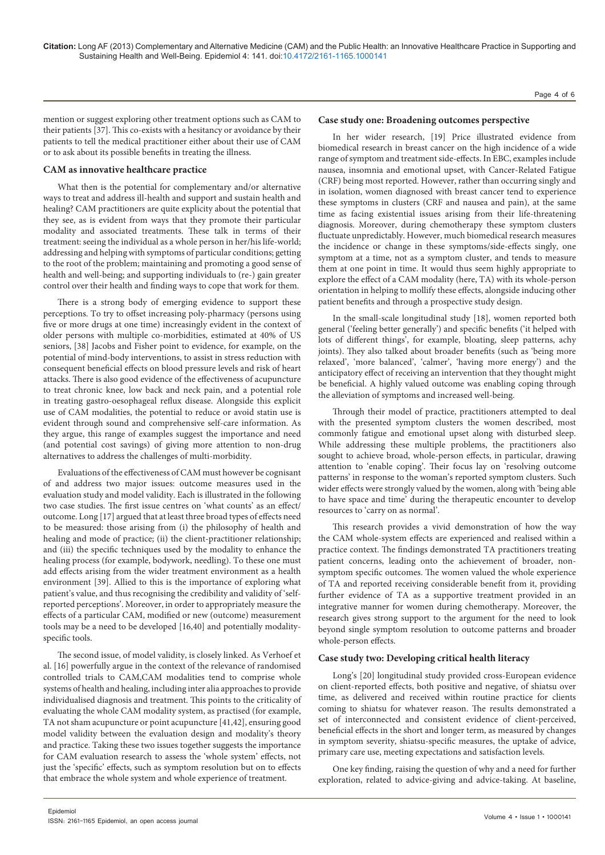mention or suggest exploring other treatment options such as CAM to their patients [37]. This co-exists with a hesitancy or avoidance by their patients to tell the medical practitioner either about their use of CAM or to ask about its possible benefits in treating the illness.

### **CAM as innovative healthcare practice**

What then is the potential for complementary and/or alternative ways to treat and address ill-health and support and sustain health and healing? CAM practitioners are quite explicity about the potential that they see, as is evident from ways that they promote their particular modality and associated treatments. These talk in terms of their treatment: seeing the individual as a whole person in her/his life-world; addressing and helping with symptoms of particular conditions; getting to the root of the problem; maintaining and promoting a good sense of health and well-being; and supporting individuals to (re-) gain greater control over their health and finding ways to cope that work for them.

There is a strong body of emerging evidence to support these perceptions. To try to offset increasing poly-pharmacy (persons using five or more drugs at one time) increasingly evident in the context of older persons with multiple co-morbidities, estimated at 40% of US seniors, [38] Jacobs and Fisher point to evidence, for example, on the potential of mind-body interventions, to assist in stress reduction with consequent beneficial effects on blood pressure levels and risk of heart attacks. There is also good evidence of the effectiveness of acupuncture to treat chronic knee, low back and neck pain, and a potential role in treating gastro-oesophageal reflux disease. Alongside this explicit use of CAM modalities, the potential to reduce or avoid statin use is evident through sound and comprehensive self-care information. As they argue, this range of examples suggest the importance and need (and potential cost savings) of giving more attention to non-drug alternatives to address the challenges of multi-morbidity.

Evaluations of the effectiveness of CAM must however be cognisant of and address two major issues: outcome measures used in the evaluation study and model validity. Each is illustrated in the following two case studies. The first issue centres on 'what counts' as an effect/ outcome. Long [17] argued that at least three broad types of effects need to be measured: those arising from (i) the philosophy of health and healing and mode of practice; (ii) the client-practitioner relationship; and (iii) the specific techniques used by the modality to enhance the healing process (for example, bodywork, needling). To these one must add effects arising from the wider treatment environment as a health environment [39]. Allied to this is the importance of exploring what patient's value, and thus recognising the credibility and validity of 'selfreported perceptions'. Moreover, in order to appropriately measure the effects of a particular CAM, modified or new (outcome) measurement tools may be a need to be developed [16,40] and potentially modalityspecific tools.

The second issue, of model validity, is closely linked. As Verhoef et al. [16] powerfully argue in the context of the relevance of randomised controlled trials to CAM,CAM modalities tend to comprise whole systems of health and healing, including inter alia approaches to provide individualised diagnosis and treatment. This points to the criticality of evaluating the whole CAM modality system, as practised (for example, TA not sham acupuncture or point acupuncture [41,42], ensuring good model validity between the evaluation design and modality's theory and practice. Taking these two issues together suggests the importance for CAM evaluation research to assess the 'whole system' effects, not just the 'specific' effects, such as symptom resolution but on to effects that embrace the whole system and whole experience of treatment.

# **Case study one: Broadening outcomes perspective**

In her wider research, [19] Price illustrated evidence from biomedical research in breast cancer on the high incidence of a wide range of symptom and treatment side-effects. In EBC, examples include nausea, insomnia and emotional upset, with Cancer-Related Fatigue (CRF) being most reported. However, rather than occurring singly and in isolation, women diagnosed with breast cancer tend to experience these symptoms in clusters (CRF and nausea and pain), at the same time as facing existential issues arising from their life-threatening diagnosis. Moreover, during chemotherapy these symptom clusters fluctuate unpredictably. However, much biomedical research measures the incidence or change in these symptoms/side-effects singly, one symptom at a time, not as a symptom cluster, and tends to measure them at one point in time. It would thus seem highly appropriate to explore the effect of a CAM modality (here, TA) with its whole-person orientation in helping to mollify these effects, alongside inducing other patient benefits and through a prospective study design.

In the small-scale longitudinal study [18], women reported both general ('feeling better generally') and specific benefits ('it helped with lots of different things', for example, bloating, sleep patterns, achy joints). They also talked about broader benefits (such as 'being more relaxed', 'more balanced', 'calmer', 'having more energy') and the anticipatory effect of receiving an intervention that they thought might be beneficial. A highly valued outcome was enabling coping through the alleviation of symptoms and increased well-being.

Through their model of practice, practitioners attempted to deal with the presented symptom clusters the women described, most commonly fatigue and emotional upset along with disturbed sleep. While addressing these multiple problems, the practitioners also sought to achieve broad, whole-person effects, in particular, drawing attention to 'enable coping'. Their focus lay on 'resolving outcome patterns' in response to the woman's reported symptom clusters. Such wider effects were strongly valued by the women, along with 'being able to have space and time' during the therapeutic encounter to develop resources to 'carry on as normal'.

This research provides a vivid demonstration of how the way the CAM whole-system effects are experienced and realised within a practice context. The findings demonstrated TA practitioners treating patient concerns, leading onto the achievement of broader, nonsymptom specific outcomes. The women valued the whole experience of TA and reported receiving considerable benefit from it, providing further evidence of TA as a supportive treatment provided in an integrative manner for women during chemotherapy. Moreover, the research gives strong support to the argument for the need to look beyond single symptom resolution to outcome patterns and broader whole-person effects.

# **Case study two: Developing critical health literacy**

Long's [20] longitudinal study provided cross-European evidence on client-reported effects, both positive and negative, of shiatsu over time, as delivered and received within routine practice for clients coming to shiatsu for whatever reason. The results demonstrated a set of interconnected and consistent evidence of client-perceived, beneficial effects in the short and longer term, as measured by changes in symptom severity, shiatsu-specific measures, the uptake of advice, primary care use, meeting expectations and satisfaction levels.

One key finding, raising the question of why and a need for further exploration, related to advice-giving and advice-taking. At baseline,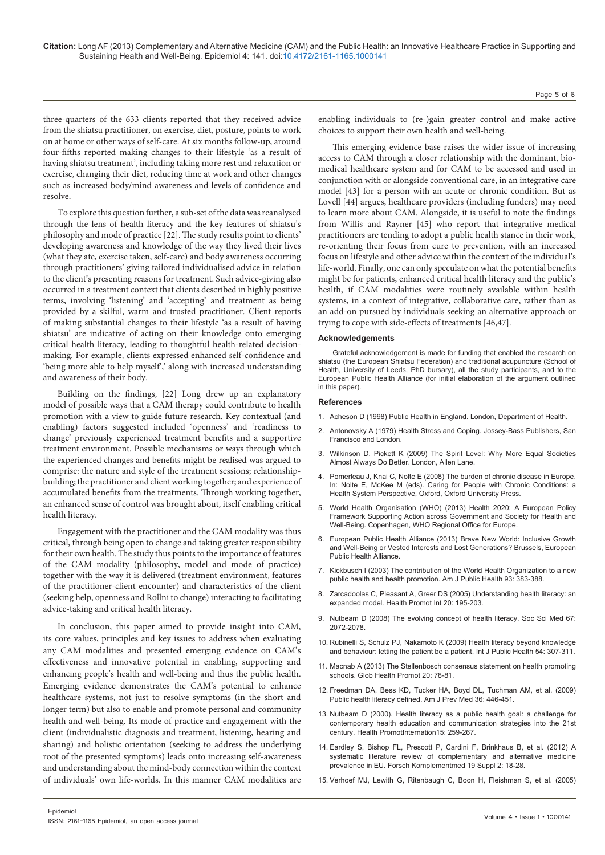three-quarters of the 633 clients reported that they received advice from the shiatsu practitioner, on exercise, diet, posture, points to work on at home or other ways of self-care. At six months follow-up, around four-fifths reported making changes to their lifestyle 'as a result of having shiatsu treatment', including taking more rest and relaxation or exercise, changing their diet, reducing time at work and other changes such as increased body/mind awareness and levels of confidence and resolve.

To explore this question further, a sub-set of the data was reanalysed through the lens of health literacy and the key features of shiatsu's philosophy and mode of practice [22]. The study results point to clients' developing awareness and knowledge of the way they lived their lives (what they ate, exercise taken, self-care) and body awareness occurring through practitioners' giving tailored individualised advice in relation to the client's presenting reasons for treatment. Such advice-giving also occurred in a treatment context that clients described in highly positive terms, involving 'listening' and 'accepting' and treatment as being provided by a skilful, warm and trusted practitioner. Client reports of making substantial changes to their lifestyle 'as a result of having shiatsu' are indicative of acting on their knowledge onto emerging critical health literacy, leading to thoughtful health-related decisionmaking. For example, clients expressed enhanced self-confidence and 'being more able to help myself',' along with increased understanding and awareness of their body.

Building on the findings, [22] Long drew up an explanatory model of possible ways that a CAM therapy could contribute to health promotion with a view to guide future research. Key contextual (and enabling) factors suggested included 'openness' and 'readiness to change' previously experienced treatment benefits and a supportive treatment environment. Possible mechanisms or ways through which the experienced changes and benefits might be realised was argued to comprise: the nature and style of the treatment sessions; relationshipbuilding; the practitioner and client working together; and experience of accumulated benefits from the treatments. Through working together, an enhanced sense of control was brought about, itself enabling critical health literacy.

Engagement with the practitioner and the CAM modality was thus critical, through being open to change and taking greater responsibility for their own health. The study thus points to the importance of features of the CAM modality (philosophy, model and mode of practice) together with the way it is delivered (treatment environment, features of the practitioner-client encounter) and characteristics of the client (seeking help, openness and Rollni to change) interacting to facilitating advice-taking and critical health literacy.

In conclusion, this paper aimed to provide insight into CAM, its core values, principles and key issues to address when evaluating any CAM modalities and presented emerging evidence on CAM's effectiveness and innovative potential in enabling, supporting and enhancing people's health and well-being and thus the public health. Emerging evidence demonstrates the CAM's potential to enhance healthcare systems, not just to resolve symptoms (in the short and longer term) but also to enable and promote personal and community health and well-being. Its mode of practice and engagement with the client (individualistic diagnosis and treatment, listening, hearing and sharing) and holistic orientation (seeking to address the underlying root of the presented symptoms) leads onto increasing self-awareness and understanding about the mind-body connection within the context of individuals' own life-worlds. In this manner CAM modalities are enabling individuals to (re-)gain greater control and make active choices to support their own health and well-being.

This emerging evidence base raises the wider issue of increasing access to CAM through a closer relationship with the dominant, biomedical healthcare system and for CAM to be accessed and used in conjunction with or alongside conventional care, in an integrative care model [43] for a person with an acute or chronic condition. But as Lovell [44] argues, healthcare providers (including funders) may need to learn more about CAM. Alongside, it is useful to note the findings from Willis and Rayner [45] who report that integrative medical practitioners are tending to adopt a public health stance in their work, re-orienting their focus from cure to prevention, with an increased focus on lifestyle and other advice within the context of the individual's life-world. Finally, one can only speculate on what the potential benefits might be for patients, enhanced critical health literacy and the public's health, if CAM modalities were routinely available within health systems, in a context of integrative, collaborative care, rather than as an add-on pursued by individuals seeking an alternative approach or trying to cope with side-effects of treatments [46,47].

#### **Acknowledgements**

Grateful acknowledgement is made for funding that enabled the research on shiatsu (the European Shiatsu Federation) and traditional acupuncture (School of Health, University of Leeds, PhD bursary), all the study participants, and to the European Public Health Alliance (for initial elaboration of the argument outlined in this paper).

#### **References**

- 1. [Acheson D \(1998\) Public Health in England. London, Department of Health.](http://webarchive.nationalarchives.gov.uk/)
- 2. [Antonovsky A \(1979\) Health Stress and Coping. Jossey-Bass Publishers, San](http://trove.nla.gov.au/work/7249690?selectedversion=NBD1463125)  Francisco and London.
- Wilkinson D, Pickett K (2009) The Spirit Level: Why More Equal Societies Almost Always Do Better. London, Allen Lane.
- 4. [Pomerleau J, Knai C, Nolte E \(2008\) The burden of chronic disease in Europe.](http://www.euro.who.int/__data/assets/pdf_file/0006/96468/E91878.pdf)  In: Nolte E, McKee M (eds). Caring for People with Chronic Conditions: a Health System Perspective, Oxford, Oxford University Press.
- 5. [World Health Organisation \(WHO\) \(2013\) Health 2020: A European Policy](http://www.euro.who.int/en/who-we-are/governance/regional-committee-for-europe/sixty-second-session/documentation/working-documents/eurrc629-health-2020-a-european-policy-framework-supporting-action-across-government-and-society-for-health-and-well-being)  Framework Supporting Action across Government and Society for Health and Well-Being. Copenhagen, WHO Regional Office for Europe.
- 6. [European Public Health Alliance \(2013\) Brave New World: Inclusive Growth](http://www.epha.org/spip.php?article5387)  and Well-Being or Vested Interests and Lost Generations? Brussels, European Public Health Alliance.
- 7. [Kickbusch I \(2003\) The contribution of the World Health Organization to a new](http://www.ncbi.nlm.nih.gov/pubmed/12604477)  public health and health promotion. Am J Public Health 93: 383-388.
- 8. [Zarcadoolas C, Pleasant A, Greer DS \(2005\) Understanding health literacy: an](http://www.ncbi.nlm.nih.gov/pubmed/15788526)  expanded model. Health Promot Int 20: 195-203.
- 9. [Nutbeam D \(2008\) The evolving concept of health literacy. Soc Sci Med 67:](http://www.ncbi.nlm.nih.gov/pubmed/18952344)  2072-2078.
- 10. [Rubinelli S, Schulz PJ, Nakamoto K \(2009\) Health literacy beyond knowledge](http://www.ncbi.nlm.nih.gov/pubmed/19641846)  and behaviour: letting the patient be a patient. Int J Public Health 54: 307-311.
- 11. [Macnab A \(2013\) The Stellenbosch consensus statement on health promoting](http://www.ncbi.nlm.nih.gov/pubmed/23563782)  schools. Glob Health Promot 20: 78-81.
- 12. [Freedman DA, Bess KD, Tucker HA, Boyd DL, Tuchman AM, et al. \(2009\)](http://www.ncbi.nlm.nih.gov/pubmed/19362698)  Public health literacy defined. Am J Prev Med 36: 446-451.
- 13. [Nutbeam D \(2000\). Health literacy as a public health goal: a challenge for](http://heapro.oxfordjournals.org/content/15/3/259.abstract)  contemporary health education and communication strategies into the 21st century. Health PromotInternation15: 259-267.
- 14. [Eardley S, Bishop FL, Prescott P, Cardini F, Brinkhaus B, et al. \(2012\) A](http://www.ncbi.nlm.nih.gov/pubmed/23883941)  systematic literature review of complementary and alternative medicine prevalence in EU. Forsch Komplementmed 19 Suppl 2: 18-28.
- 15. [Verhoef MJ, Lewith G, Ritenbaugh C, Boon H, Fleishman S, et al. \(2005\)](http://www.ncbi.nlm.nih.gov/pubmed/16150375)